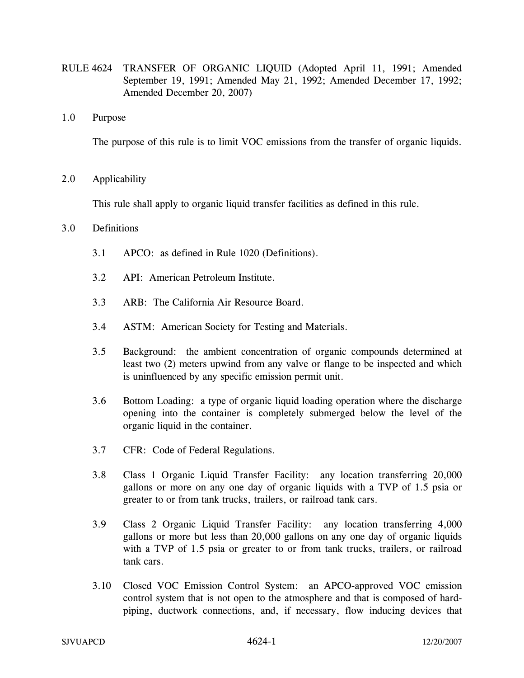- RULE 4624 TRANSFER OF ORGANIC LIQUID (Adopted April 11, 1991; Amended September 19, 1991; Amended May 21, 1992; Amended December 17, 1992; Amended December 20, 2007)
- 1.0 Purpose

The purpose of this rule is to limit VOC emissions from the transfer of organic liquids.

2.0 Applicability

This rule shall apply to organic liquid transfer facilities as defined in this rule.

#### 3.0 Definitions

- 3.1 APCO: as defined in Rule 1020 (Definitions).
- 3.2 API: American Petroleum Institute.
- 3.3 ARB: The California Air Resource Board.
- 3.4 ASTM: American Society for Testing and Materials.
- 3.5 Background: the ambient concentration of organic compounds determined at least two (2) meters upwind from any valve or flange to be inspected and which is uninfluenced by any specific emission permit unit.
- 3.6 Bottom Loading: a type of organic liquid loading operation where the discharge opening into the container is completely submerged below the level of the organic liquid in the container.
- 3.7 CFR: Code of Federal Regulations.
- 3.8 Class 1 Organic Liquid Transfer Facility: any location transferring 20,000 gallons or more on any one day of organic liquids with a TVP of 1.5 psia or greater to or from tank trucks, trailers, or railroad tank cars.
- 3.9 Class 2 Organic Liquid Transfer Facility: any location transferring 4,000 gallons or more but less than 20,000 gallons on any one day of organic liquids with a TVP of 1.5 psia or greater to or from tank trucks, trailers, or railroad tank cars.
- 3.10 Closed VOC Emission Control System: an APCO-approved VOC emission control system that is not open to the atmosphere and that is composed of hardpiping, ductwork connections, and, if necessary, flow inducing devices that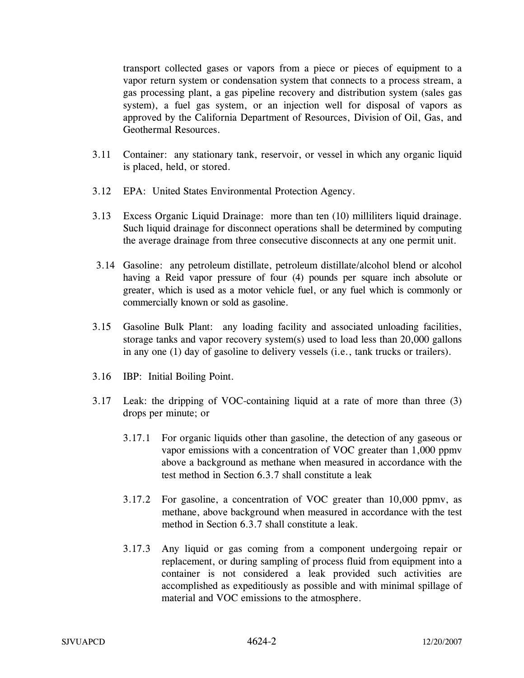transport collected gases or vapors from a piece or pieces of equipment to a vapor return system or condensation system that connects to a process stream, a gas processing plant, a gas pipeline recovery and distribution system (sales gas system), a fuel gas system, or an injection well for disposal of vapors as approved by the California Department of Resources, Division of Oil, Gas, and Geothermal Resources.

- 3.11 Container: any stationary tank, reservoir, or vessel in which any organic liquid is placed, held, or stored.
- 3.12 EPA: United States Environmental Protection Agency.
- 3.13 Excess Organic Liquid Drainage: more than ten (10) milliliters liquid drainage. Such liquid drainage for disconnect operations shall be determined by computing the average drainage from three consecutive disconnects at any one permit unit.
- 3.14 Gasoline: any petroleum distillate, petroleum distillate/alcohol blend or alcohol having a Reid vapor pressure of four (4) pounds per square inch absolute or greater, which is used as a motor vehicle fuel, or any fuel which is commonly or commercially known or sold as gasoline.
- 3.15 Gasoline Bulk Plant: any loading facility and associated unloading facilities, storage tanks and vapor recovery system(s) used to load less than 20,000 gallons in any one (1) day of gasoline to delivery vessels (i.e., tank trucks or trailers).
- 3.16 IBP: Initial Boiling Point.
- 3.17 Leak: the dripping of VOC-containing liquid at a rate of more than three (3) drops per minute; or
	- 3.17.1 For organic liquids other than gasoline, the detection of any gaseous or vapor emissions with a concentration of VOC greater than 1,000 ppmv above a background as methane when measured in accordance with the test method in Section 6.3.7 shall constitute a leak
	- 3.17.2 For gasoline, a concentration of VOC greater than 10,000 ppmv, as methane, above background when measured in accordance with the test method in Section 6.3.7 shall constitute a leak.
	- 3.17.3 Any liquid or gas coming from a component undergoing repair or replacement, or during sampling of process fluid from equipment into a container is not considered a leak provided such activities are accomplished as expeditiously as possible and with minimal spillage of material and VOC emissions to the atmosphere.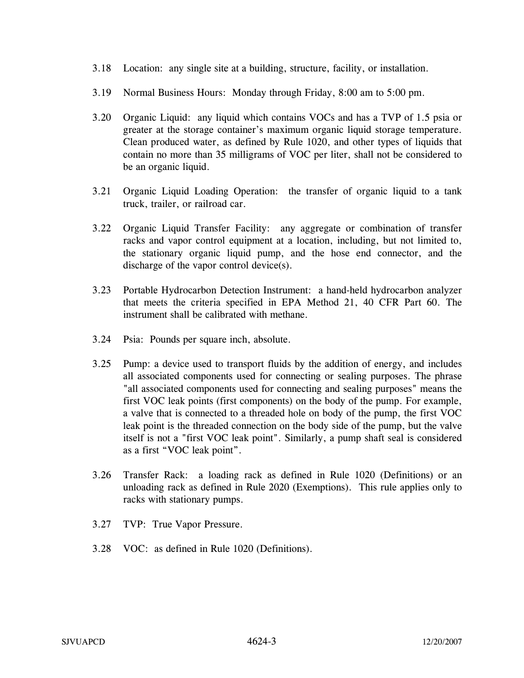- 3.18 Location: any single site at a building, structure, facility, or installation.
- 3.19 Normal Business Hours: Monday through Friday, 8:00 am to 5:00 pm.
- 3.20 Organic Liquid: any liquid which contains VOCs and has a TVP of 1.5 psia or greater at the storage container's maximum organic liquid storage temperature. Clean produced water, as defined by Rule 1020, and other types of liquids that contain no more than 35 milligrams of VOC per liter, shall not be considered to be an organic liquid.
- 3.21 Organic Liquid Loading Operation: the transfer of organic liquid to a tank truck, trailer, or railroad car.
- 3.22 Organic Liquid Transfer Facility: any aggregate or combination of transfer racks and vapor control equipment at a location, including, but not limited to, the stationary organic liquid pump, and the hose end connector, and the discharge of the vapor control device(s).
- 3.23 Portable Hydrocarbon Detection Instrument: a hand-held hydrocarbon analyzer that meets the criteria specified in EPA Method 21, 40 CFR Part 60. The instrument shall be calibrated with methane.
- 3.24 Psia: Pounds per square inch, absolute.
- 3.25 Pump: a device used to transport fluids by the addition of energy, and includes all associated components used for connecting or sealing purposes. The phrase "all associated components used for connecting and sealing purposes" means the first VOC leak points (first components) on the body of the pump. For example, a valve that is connected to a threaded hole on body of the pump, the first VOC leak point is the threaded connection on the body side of the pump, but the valve itself is not a "first VOC leak point". Similarly, a pump shaft seal is considered as a first "VOC leak point".
- 3.26 Transfer Rack: a loading rack as defined in Rule 1020 (Definitions) or an unloading rack as defined in Rule 2020 (Exemptions). This rule applies only to racks with stationary pumps.
- 3.27 TVP: True Vapor Pressure.
- 3.28 VOC: as defined in Rule 1020 (Definitions).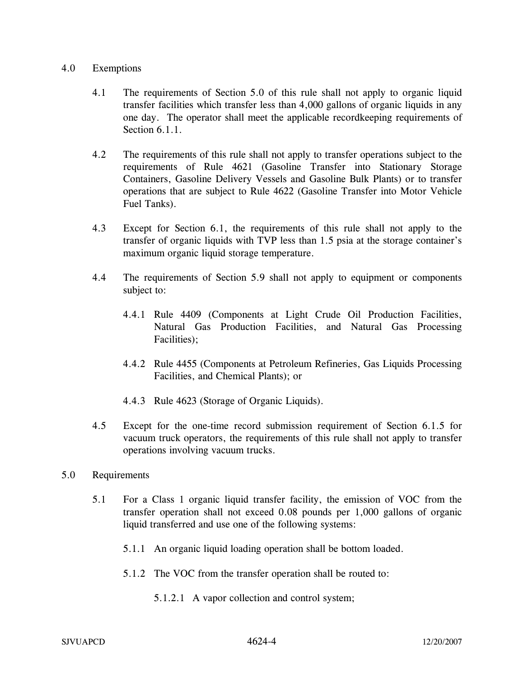#### 4.0 Exemptions

- 4.1 The requirements of Section 5.0 of this rule shall not apply to organic liquid transfer facilities which transfer less than 4,000 gallons of organic liquids in any one day. The operator shall meet the applicable recordkeeping requirements of Section 6.1.1
- 4.2 The requirements of this rule shall not apply to transfer operations subject to the requirements of Rule 4621 (Gasoline Transfer into Stationary Storage Containers, Gasoline Delivery Vessels and Gasoline Bulk Plants) or to transfer operations that are subject to Rule 4622 (Gasoline Transfer into Motor Vehicle Fuel Tanks).
- 4.3 Except for Section 6.1, the requirements of this rule shall not apply to the transfer of organic liquids with TVP less than 1.5 psia at the storage container's maximum organic liquid storage temperature.
- 4.4 The requirements of Section 5.9 shall not apply to equipment or components subject to:
	- 4.4.1 Rule 4409 (Components at Light Crude Oil Production Facilities, Natural Gas Production Facilities, and Natural Gas Processing Facilities);
	- 4.4.2 Rule 4455 (Components at Petroleum Refineries, Gas Liquids Processing Facilities, and Chemical Plants); or
	- 4.4.3 Rule 4623 (Storage of Organic Liquids).
- 4.5 Except for the one-time record submission requirement of Section 6.1.5 for vacuum truck operators, the requirements of this rule shall not apply to transfer operations involving vacuum trucks.

### 5.0 Requirements

- 5.1 For a Class 1 organic liquid transfer facility, the emission of VOC from the transfer operation shall not exceed 0.08 pounds per 1,000 gallons of organic liquid transferred and use one of the following systems:
	- 5.1.1 An organic liquid loading operation shall be bottom loaded.
	- 5.1.2 The VOC from the transfer operation shall be routed to:
		- 5.1.2.1 A vapor collection and control system;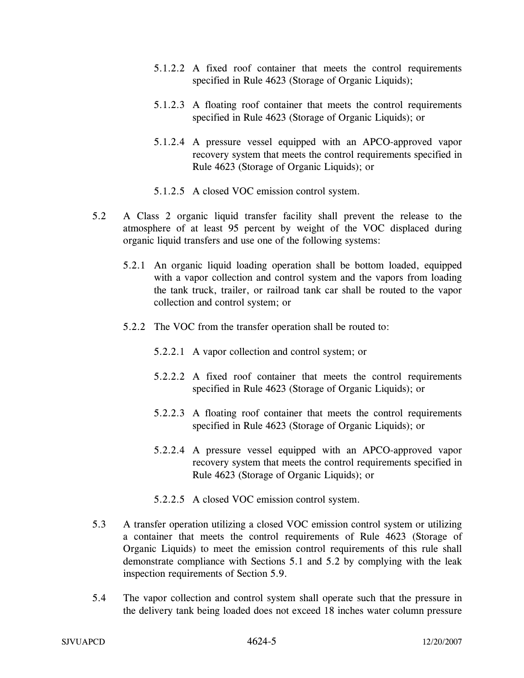- 5.1.2.2 A fixed roof container that meets the control requirements specified in Rule 4623 (Storage of Organic Liquids);
- 5.1.2.3 A floating roof container that meets the control requirements specified in Rule 4623 (Storage of Organic Liquids); or
- 5.1.2.4 A pressure vessel equipped with an APCO-approved vapor recovery system that meets the control requirements specified in Rule 4623 (Storage of Organic Liquids); or
- 5.1.2.5 A closed VOC emission control system.
- 5.2 A Class 2 organic liquid transfer facility shall prevent the release to the atmosphere of at least 95 percent by weight of the VOC displaced during organic liquid transfers and use one of the following systems:
	- 5.2.1 An organic liquid loading operation shall be bottom loaded, equipped with a vapor collection and control system and the vapors from loading the tank truck, trailer, or railroad tank car shall be routed to the vapor collection and control system; or
	- 5.2.2 The VOC from the transfer operation shall be routed to:
		- 5.2.2.1 A vapor collection and control system; or
		- 5.2.2.2 A fixed roof container that meets the control requirements specified in Rule 4623 (Storage of Organic Liquids); or
		- 5.2.2.3 A floating roof container that meets the control requirements specified in Rule 4623 (Storage of Organic Liquids); or
		- 5.2.2.4 A pressure vessel equipped with an APCO-approved vapor recovery system that meets the control requirements specified in Rule 4623 (Storage of Organic Liquids); or
		- 5.2.2.5 A closed VOC emission control system.
- 5.3 A transfer operation utilizing a closed VOC emission control system or utilizing a container that meets the control requirements of Rule 4623 (Storage of Organic Liquids) to meet the emission control requirements of this rule shall demonstrate compliance with Sections 5.1 and 5.2 by complying with the leak inspection requirements of Section 5.9.
- 5.4 The vapor collection and control system shall operate such that the pressure in the delivery tank being loaded does not exceed 18 inches water column pressure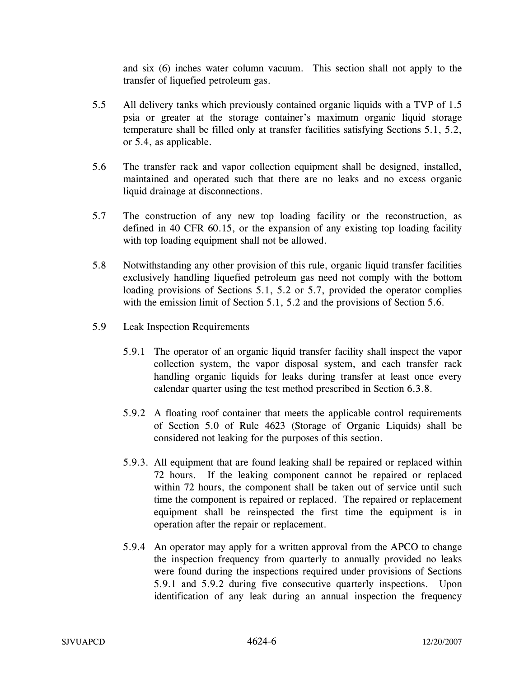and six (6) inches water column vacuum. This section shall not apply to the transfer of liquefied petroleum gas.

- 5.5 All delivery tanks which previously contained organic liquids with a TVP of 1.5 psia or greater at the storage container's maximum organic liquid storage temperature shall be filled only at transfer facilities satisfying Sections 5.1, 5.2, or 5.4, as applicable.
- 5.6 The transfer rack and vapor collection equipment shall be designed, installed, maintained and operated such that there are no leaks and no excess organic liquid drainage at disconnections.
- 5.7 The construction of any new top loading facility or the reconstruction, as defined in 40 CFR 60.15, or the expansion of any existing top loading facility with top loading equipment shall not be allowed.
- 5.8 Notwithstanding any other provision of this rule, organic liquid transfer facilities exclusively handling liquefied petroleum gas need not comply with the bottom loading provisions of Sections 5.1, 5.2 or 5.7, provided the operator complies with the emission limit of Section 5.1, 5.2 and the provisions of Section 5.6.
- 5.9 Leak Inspection Requirements
	- 5.9.1 The operator of an organic liquid transfer facility shall inspect the vapor collection system, the vapor disposal system, and each transfer rack handling organic liquids for leaks during transfer at least once every calendar quarter using the test method prescribed in Section 6.3.8.
	- 5.9.2 A floating roof container that meets the applicable control requirements of Section 5.0 of Rule 4623 (Storage of Organic Liquids) shall be considered not leaking for the purposes of this section.
	- 5.9.3. All equipment that are found leaking shall be repaired or replaced within 72 hours. If the leaking component cannot be repaired or replaced within 72 hours, the component shall be taken out of service until such time the component is repaired or replaced. The repaired or replacement equipment shall be reinspected the first time the equipment is in operation after the repair or replacement.
	- 5.9.4 An operator may apply for a written approval from the APCO to change the inspection frequency from quarterly to annually provided no leaks were found during the inspections required under provisions of Sections 5.9.1 and 5.9.2 during five consecutive quarterly inspections. Upon identification of any leak during an annual inspection the frequency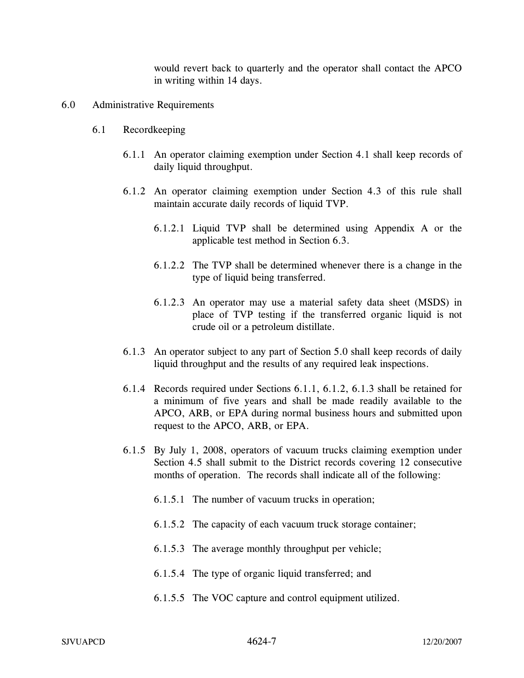would revert back to quarterly and the operator shall contact the APCO in writing within 14 days.

- 6.0 Administrative Requirements
	- 6.1 Recordkeeping
		- 6.1.1 An operator claiming exemption under Section 4.1 shall keep records of daily liquid throughput.
		- 6.1.2 An operator claiming exemption under Section 4.3 of this rule shall maintain accurate daily records of liquid TVP.
			- 6.1.2.1 Liquid TVP shall be determined using Appendix A or the applicable test method in Section 6.3.
			- 6.1.2.2 The TVP shall be determined whenever there is a change in the type of liquid being transferred.
			- 6.1.2.3 An operator may use a material safety data sheet (MSDS) in place of TVP testing if the transferred organic liquid is not crude oil or a petroleum distillate.
		- 6.1.3 An operator subject to any part of Section 5.0 shall keep records of daily liquid throughput and the results of any required leak inspections.
		- 6.1.4 Records required under Sections 6.1.1, 6.1.2, 6.1.3 shall be retained for a minimum of five years and shall be made readily available to the APCO, ARB, or EPA during normal business hours and submitted upon request to the APCO, ARB, or EPA.
		- 6.1.5 By July 1, 2008, operators of vacuum trucks claiming exemption under Section 4.5 shall submit to the District records covering 12 consecutive months of operation. The records shall indicate all of the following:
			- 6.1.5.1 The number of vacuum trucks in operation;
			- 6.1.5.2 The capacity of each vacuum truck storage container;
			- 6.1.5.3 The average monthly throughput per vehicle;
			- 6.1.5.4 The type of organic liquid transferred; and
			- 6.1.5.5 The VOC capture and control equipment utilized.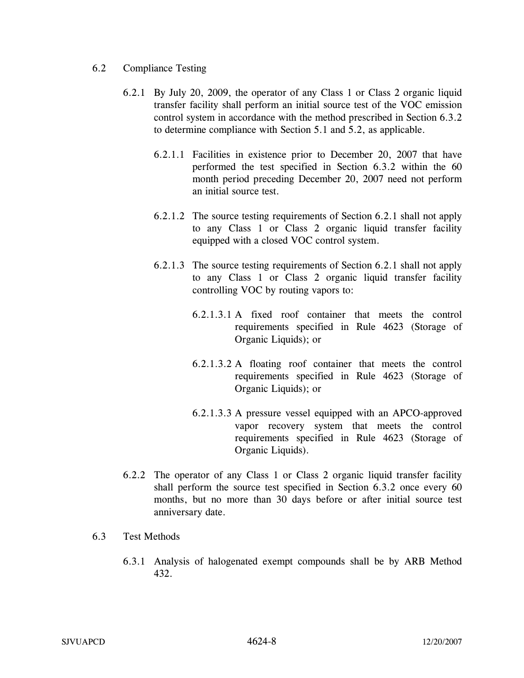- 6.2 Compliance Testing
	- 6.2.1 By July 20, 2009, the operator of any Class 1 or Class 2 organic liquid transfer facility shall perform an initial source test of the VOC emission control system in accordance with the method prescribed in Section 6.3.2 to determine compliance with Section 5.1 and 5.2, as applicable.
		- 6.2.1.1 Facilities in existence prior to December 20, 2007 that have performed the test specified in Section 6.3.2 within the 60 month period preceding December 20, 2007 need not perform an initial source test.
		- 6.2.1.2 The source testing requirements of Section 6.2.1 shall not apply to any Class 1 or Class 2 organic liquid transfer facility equipped with a closed VOC control system.
		- 6.2.1.3 The source testing requirements of Section 6.2.1 shall not apply to any Class 1 or Class 2 organic liquid transfer facility controlling VOC by routing vapors to:
			- 6.2.1.3.1 A fixed roof container that meets the control requirements specified in Rule 4623 (Storage of Organic Liquids); or
			- 6.2.1.3.2 A floating roof container that meets the control requirements specified in Rule 4623 (Storage of Organic Liquids); or
			- 6.2.1.3.3 A pressure vessel equipped with an APCO-approved vapor recovery system that meets the control requirements specified in Rule 4623 (Storage of Organic Liquids).
	- 6.2.2 The operator of any Class 1 or Class 2 organic liquid transfer facility shall perform the source test specified in Section 6.3.2 once every 60 months, but no more than 30 days before or after initial source test anniversary date.
- 6.3 Test Methods
	- 6.3.1 Analysis of halogenated exempt compounds shall be by ARB Method 432.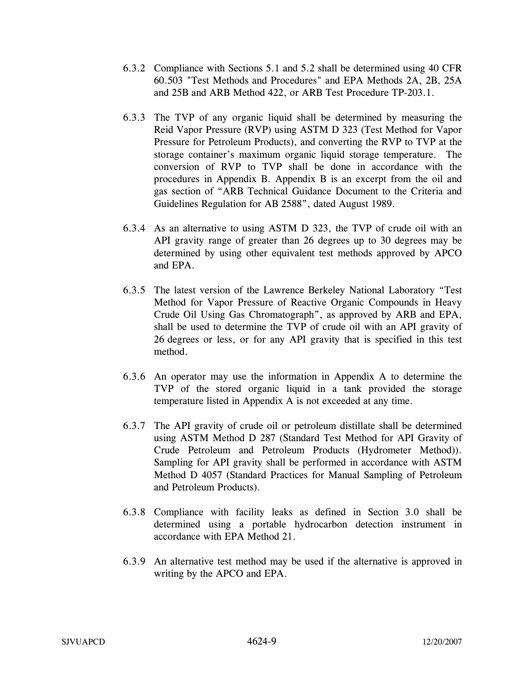- 6.3.2 Compliance with Sections 5.1 and 5.2 shall be determined using 40 CFR 60.503 "Test Methods and Procedures" and EPA Methods 2A, 2B, 25A and 25B and ARB Method 422, or ARB Test Procedure TP-203.1.
- 6.3.3 The TVP of any organic liquid shall be determined by measuring the Reid Vapor Pressure (RVP) using ASTM D 323 (Test Method for Vapor Pressure for Petroleum Products), and converting the RVP to TVP at the storage container's maximum organic liquid storage temperature. The conversion of RVP to TVP shall be done in accordance with the procedures in Appendix B. Appendix B is an excerpt from the oil and gas section of "ARB Technical Guidance Document to the Criteria and Guidelines Regulation for AB 2588", dated August 1989.
- 6.3.4 As an alternative to using ASTM D 323, the TVP of crude oil with an API gravity range of greater than 26 degrees up to 30 degrees may be determined by using other equivalent test methods approved by APCO and EPA.
- 6.3.5 The latest version of the Lawrence Berkeley National Laboratory "Test Method for Vapor Pressure of Reactive Organic Compounds in Heavy Crude Oil Using Gas Chromatograph", as approved by ARB and EPA, shall be used to determine the TVP of crude oil with an API gravity of 26 degrees or less, or for any API gravity that is specified in this test method.
- 6.3.6 An operator may use the information in Appendix A to determine the TVP of the stored organic liquid in a tank provided the storage temperature listed in Appendix A is not exceeded at any time.
- 6.3.7 The API gravity of crude oil or petroleum distillate shall be determined using ASTM Method D 287 (Standard Test Method for API Gravity of Crude Petroleum and Petroleum Products (Hydrometer Method)). Sampling for API gravity shall be performed in accordance with ASTM Method D 4057 (Standard Practices for Manual Sampling of Petroleum and Petroleum Products).
- 6.3.8 Compliance with facility leaks as defined in Section 3.0 shall be determined using a portable hydrocarbon detection instrument in accordance with EPA Method 21.
- 6.3.9 An alternative test method may be used if the alternative is approved in writing by the APCO and EPA.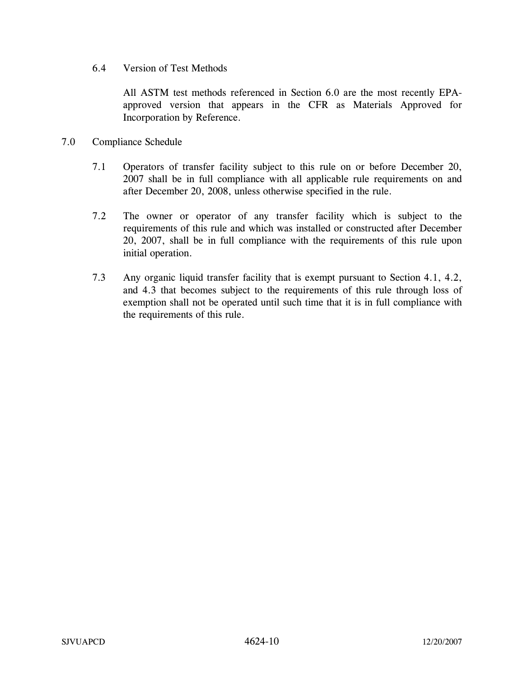6.4 Version of Test Methods

All ASTM test methods referenced in Section 6.0 are the most recently EPAapproved version that appears in the CFR as Materials Approved for Incorporation by Reference.

- 7.0 Compliance Schedule
	- 7.1 Operators of transfer facility subject to this rule on or before December 20, 2007 shall be in full compliance with all applicable rule requirements on and after December 20, 2008, unless otherwise specified in the rule.
	- 7.2 The owner or operator of any transfer facility which is subject to the requirements of this rule and which was installed or constructed after December 20, 2007, shall be in full compliance with the requirements of this rule upon initial operation.
	- 7.3 Any organic liquid transfer facility that is exempt pursuant to Section 4.1, 4.2, and 4.3 that becomes subject to the requirements of this rule through loss of exemption shall not be operated until such time that it is in full compliance with the requirements of this rule.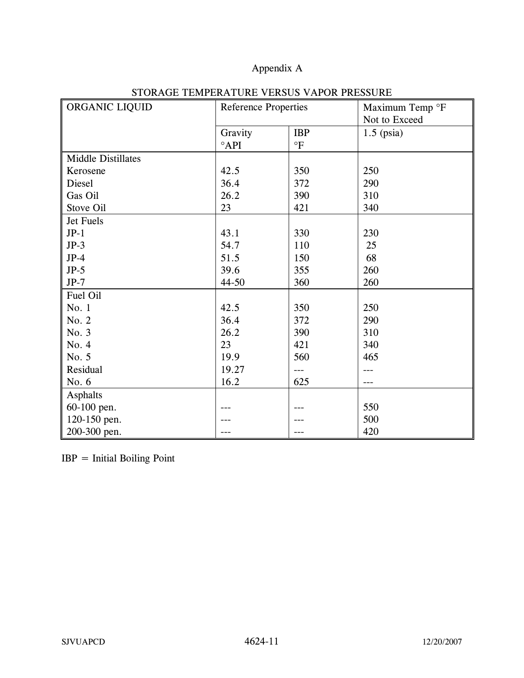# Appendix A

| ORGANIC LIQUID            | <b>Reference Properties</b> |            | Maximum Temp °F |
|---------------------------|-----------------------------|------------|-----------------|
|                           |                             |            | Not to Exceed   |
|                           | Gravity                     | <b>IBP</b> | $1.5$ (psia)    |
|                           | $^{\circ}$ API              | $\circ$ F  |                 |
| <b>Middle Distillates</b> |                             |            |                 |
| Kerosene                  | 42.5                        | 350        | 250             |
| Diesel                    | 36.4                        | 372        | 290             |
| Gas Oil                   | 26.2                        | 390        | 310             |
| Stove Oil                 | 23                          | 421        | 340             |
| Jet Fuels                 |                             |            |                 |
| $JP-1$                    | 43.1                        | 330        | 230             |
| $JP-3$                    | 54.7                        | 110        | 25              |
| $JP-4$                    | 51.5                        | 150        | 68              |
| $JP-5$                    | 39.6                        | 355        | 260             |
| $JP-7$                    | $44 - 50$                   | 360        | 260             |
| Fuel Oil                  |                             |            |                 |
| No. 1                     | 42.5                        | 350        | 250             |
| No. 2                     | 36.4                        | 372        | 290             |
| No. 3                     | 26.2                        | 390        | 310             |
| No. 4                     | 23                          | 421        | 340             |
| No. 5                     | 19.9                        | 560        | 465             |
| Residual                  | 19.27                       | $---$      |                 |
| No. 6                     | 16.2                        | 625        | ---             |
| Asphalts                  |                             |            |                 |
| 60-100 pen.               |                             |            | 550             |
| 120-150 pen.              |                             |            | 500             |
| 200-300 pen.              |                             | ---        | 420             |

## STORAGE TEMPERATURE VERSUS VAPOR PRESSURE

IBP = Initial Boiling Point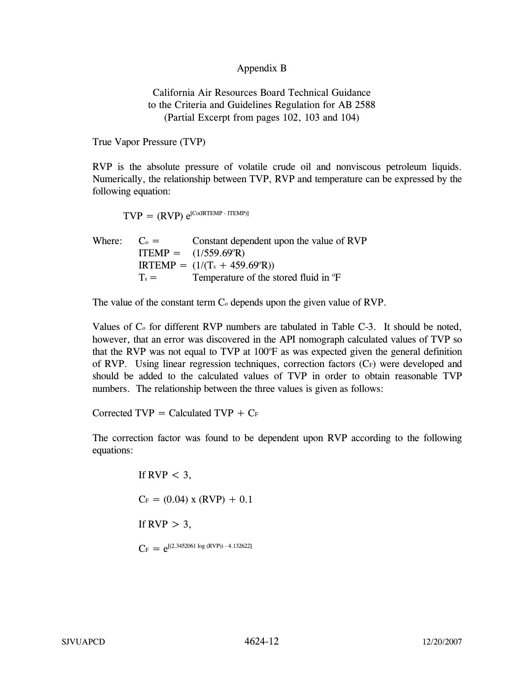### Appendix B

### California Air Resources Board Technical Guidance to the Criteria and Guidelines Regulation for AB 2588 (Partial Excerpt from pages 102, 103 and 104)

True Vapor Pressure (TVP)

RVP is the absolute pressure of volatile crude oil and nonviscous petroleum liquids. Numerically, the relationship between TVP, RVP and temperature can be expressed by the following equation:

$$
TVP = (RVP) e^{[Co(IRTEMP - ITEMP)]}
$$

Where:  $C_0 =$  Constant dependent upon the value of RVP  $ITERIP = (1/559.69^{\circ}R)$  $IRTEMP = (1/(T<sub>s</sub> + 459.69<sup>o</sup>R))$  $T_s =$  Temperature of the stored fluid in  ${}^{\circ}F$ 

The value of the constant term  $C_0$  depends upon the given value of RVP.

Values of  $C<sub>o</sub>$  for different RVP numbers are tabulated in Table  $C-3$ . It should be noted, however, that an error was discovered in the API nomograph calculated values of TVP so that the RVP was not equal to TVP at 100°F as was expected given the general definition of RVP. Using linear regression techniques, correction factors  $(C_F)$  were developed and should be added to the calculated values of TVP in order to obtain reasonable TVP numbers. The relationship between the three values is given as follows:

Corrected  $TVP =$  Calculated  $TVP + C_F$ 

The correction factor was found to be dependent upon RVP according to the following equations:

> If RVP  $<$  3,  $C_F = (0.04)$  x (RVP) + 0.1 If  $RVP > 3$ ,  $C_F = e^{[(2.3452061 \log (RVP)) - 4.132622]}$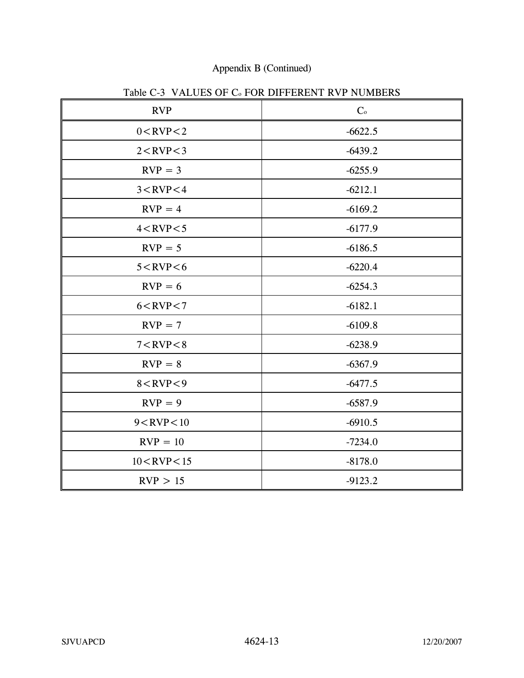## Appendix B (Continued)

| <b>RVP</b>        | $C_{\rm o}$ |
|-------------------|-------------|
| $0 <$ RVP $<$ 2   | $-6622.5$   |
| $2 <$ RVP $<$ 3   | $-6439.2$   |
| $RVP = 3$         | $-6255.9$   |
| $3 <$ RVP $<$ 4   | $-6212.1$   |
| $RVP = 4$         | $-6169.2$   |
| $4 <$ RVP $<$ 5   | $-6177.9$   |
| $RVP = 5$         | $-6186.5$   |
| $5 <$ RVP $<$ 6   | $-6220.4$   |
| $RVP = 6$         | $-6254.3$   |
| $6 <$ RVP $<$ 7   | $-6182.1$   |
| $RVP = 7$         | $-6109.8$   |
| $7 <$ RVP $< 8$   | $-6238.9$   |
| $RVP = 8$         | $-6367.9$   |
| $8 <$ RVP $<$ 9   | $-6477.5$   |
| $RVP = 9$         | $-6587.9$   |
| $9 <$ RVP $<$ 10  | $-6910.5$   |
| $RVP = 10$        | $-7234.0$   |
| $10$ < RVP < $15$ | $-8178.0$   |
| RVP > 15          | $-9123.2$   |

Table C-3 VALUES OF C<sub>o</sub> FOR DIFFERENT RVP NUMBERS